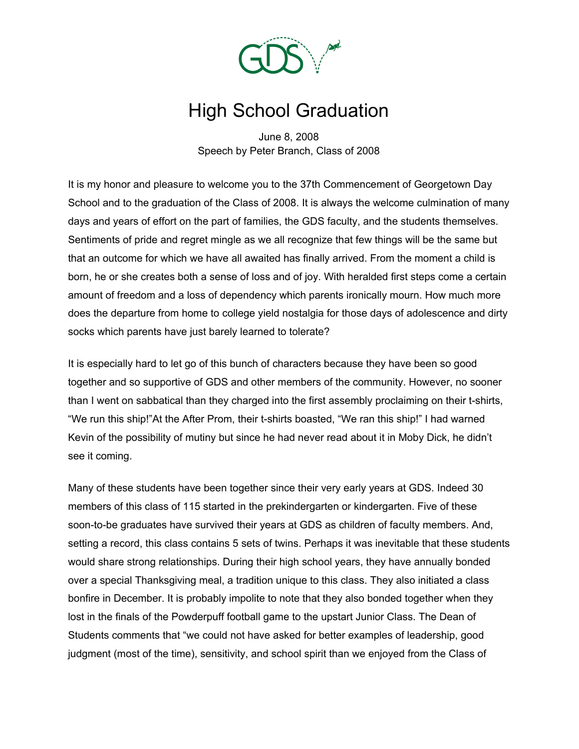

## High School Graduation

June 8, 2008 Speech by Peter Branch, Class of 2008

It is my honor and pleasure to welcome you to the 37th Commencement of Georgetown Day School and to the graduation of the Class of 2008. It is always the welcome culmination of many days and years of effort on the part of families, the GDS faculty, and the students themselves. Sentiments of pride and regret mingle as we all recognize that few things will be the same but that an outcome for which we have all awaited has finally arrived. From the moment a child is born, he or she creates both a sense of loss and of joy. With heralded first steps come a certain amount of freedom and a loss of dependency which parents ironically mourn. How much more does the departure from home to college yield nostalgia for those days of adolescence and dirty socks which parents have just barely learned to tolerate?

It is especially hard to let go of this bunch of characters because they have been so good together and so supportive of GDS and other members of the community. However, no sooner than I went on sabbatical than they charged into the first assembly proclaiming on their t-shirts, "We run this ship!"At the After Prom, their t-shirts boasted, "We ran this ship!" I had warned Kevin of the possibility of mutiny but since he had never read about it in Moby Dick, he didn't see it coming.

Many of these students have been together since their very early years at GDS. Indeed 30 members of this class of 115 started in the prekindergarten or kindergarten. Five of these soon-to-be graduates have survived their years at GDS as children of faculty members. And, setting a record, this class contains 5 sets of twins. Perhaps it was inevitable that these students would share strong relationships. During their high school years, they have annually bonded over a special Thanksgiving meal, a tradition unique to this class. They also initiated a class bonfire in December. It is probably impolite to note that they also bonded together when they lost in the finals of the Powderpuff football game to the upstart Junior Class. The Dean of Students comments that "we could not have asked for better examples of leadership, good judgment (most of the time), sensitivity, and school spirit than we enjoyed from the Class of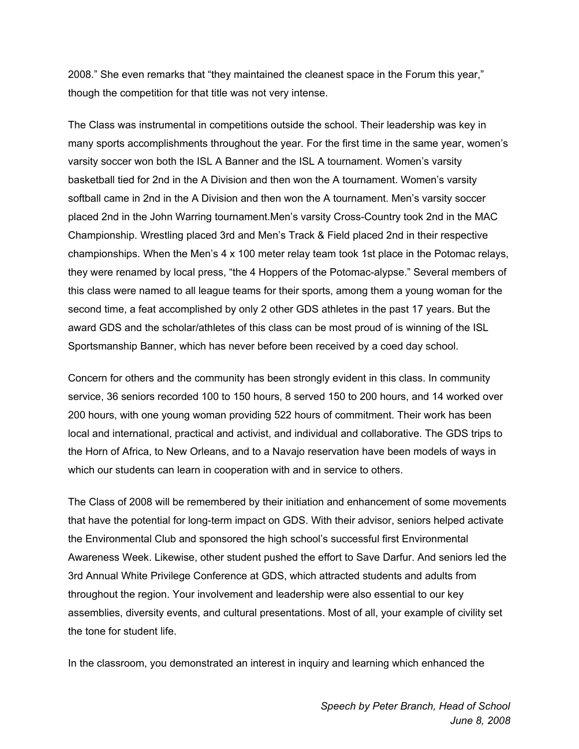2008." She even remarks that "they maintained the cleanest space in the Forum this year," though the competition for that title was not very intense.

The Class was instrumental in competitions outside the school. Their leadership was key in many sports accomplishments throughout the year. For the first time in the same year, women's varsity soccer won both the ISL A Banner and the ISL A tournament. Women's varsity basketball tied for 2nd in the A Division and then won the A tournament. Women's varsity softball came in 2nd in the A Division and then won the A tournament. Men's varsity soccer placed 2nd in the John Warring tournament.Men's varsity Cross-Country took 2nd in the MAC Championship. Wrestling placed 3rd and Men's Track & Field placed 2nd in their respective championships. When the Men's 4 x 100 meter relay team took 1st place in the Potomac relays, they were renamed by local press, "the 4 Hoppers of the Potomac-alypse." Several members of this class were named to all league teams for their sports, among them a young woman for the second time, a feat accomplished by only 2 other GDS athletes in the past 17 years. But the award GDS and the scholar/athletes of this class can be most proud of is winning of the ISL Sportsmanship Banner, which has never before been received by a coed day school.

Concern for others and the community has been strongly evident in this class. In community service, 36 seniors recorded 100 to 150 hours, 8 served 150 to 200 hours, and 14 worked over 200 hours, with one young woman providing 522 hours of commitment. Their work has been local and international, practical and activist, and individual and collaborative. The GDS trips to the Horn of Africa, to New Orleans, and to a Navajo reservation have been models of ways in which our students can learn in cooperation with and in service to others.

The Class of 2008 will be remembered by their initiation and enhancement of some movements that have the potential for long-term impact on GDS. With their advisor, seniors helped activate the Environmental Club and sponsored the high school's successful first Environmental Awareness Week. Likewise, other student pushed the effort to Save Darfur. And seniors led the 3rd Annual White Privilege Conference at GDS, which attracted students and adults from throughout the region. Your involvement and leadership were also essential to our key assemblies, diversity events, and cultural presentations. Most of all, your example of civility set the tone for student life.

In the classroom, you demonstrated an interest in inquiry and learning which enhanced the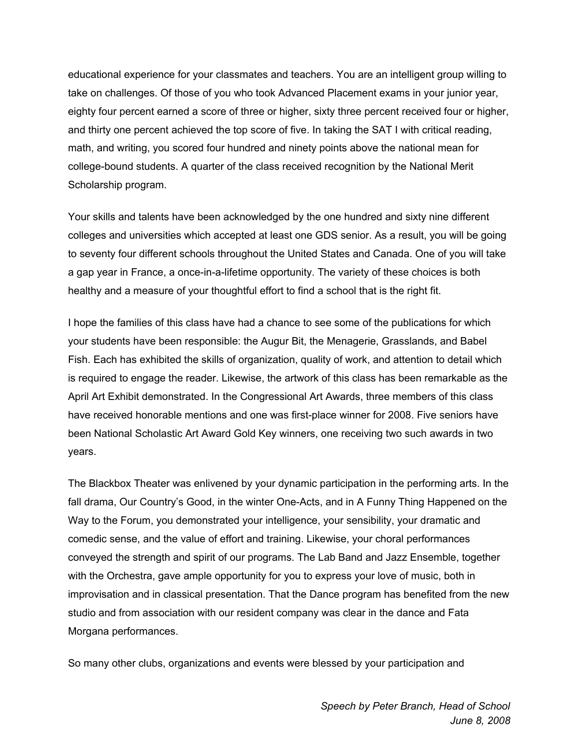educational experience for your classmates and teachers. You are an intelligent group willing to take on challenges. Of those of you who took Advanced Placement exams in your junior year, eighty four percent earned a score of three or higher, sixty three percent received four or higher, and thirty one percent achieved the top score of five. In taking the SAT I with critical reading, math, and writing, you scored four hundred and ninety points above the national mean for college-bound students. A quarter of the class received recognition by the National Merit Scholarship program.

Your skills and talents have been acknowledged by the one hundred and sixty nine different colleges and universities which accepted at least one GDS senior. As a result, you will be going to seventy four different schools throughout the United States and Canada. One of you will take a gap year in France, a once-in-a-lifetime opportunity. The variety of these choices is both healthy and a measure of your thoughtful effort to find a school that is the right fit.

I hope the families of this class have had a chance to see some of the publications for which your students have been responsible: the Augur Bit, the Menagerie, Grasslands, and Babel Fish. Each has exhibited the skills of organization, quality of work, and attention to detail which is required to engage the reader. Likewise, the artwork of this class has been remarkable as the April Art Exhibit demonstrated. In the Congressional Art Awards, three members of this class have received honorable mentions and one was first-place winner for 2008. Five seniors have been National Scholastic Art Award Gold Key winners, one receiving two such awards in two years.

The Blackbox Theater was enlivened by your dynamic participation in the performing arts. In the fall drama, Our Country's Good, in the winter One-Acts, and in A Funny Thing Happened on the Way to the Forum, you demonstrated your intelligence, your sensibility, your dramatic and comedic sense, and the value of effort and training. Likewise, your choral performances conveyed the strength and spirit of our programs. The Lab Band and Jazz Ensemble, together with the Orchestra, gave ample opportunity for you to express your love of music, both in improvisation and in classical presentation. That the Dance program has benefited from the new studio and from association with our resident company was clear in the dance and Fata Morgana performances.

So many other clubs, organizations and events were blessed by your participation and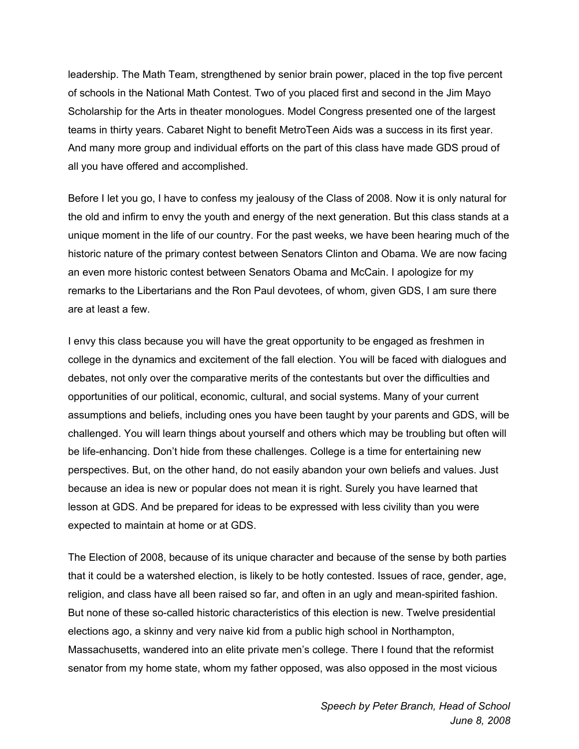leadership. The Math Team, strengthened by senior brain power, placed in the top five percent of schools in the National Math Contest. Two of you placed first and second in the Jim Mayo Scholarship for the Arts in theater monologues. Model Congress presented one of the largest teams in thirty years. Cabaret Night to benefit MetroTeen Aids was a success in its first year. And many more group and individual efforts on the part of this class have made GDS proud of all you have offered and accomplished.

Before I let you go, I have to confess my jealousy of the Class of 2008. Now it is only natural for the old and infirm to envy the youth and energy of the next generation. But this class stands at a unique moment in the life of our country. For the past weeks, we have been hearing much of the historic nature of the primary contest between Senators Clinton and Obama. We are now facing an even more historic contest between Senators Obama and McCain. I apologize for my remarks to the Libertarians and the Ron Paul devotees, of whom, given GDS, I am sure there are at least a few.

I envy this class because you will have the great opportunity to be engaged as freshmen in college in the dynamics and excitement of the fall election. You will be faced with dialogues and debates, not only over the comparative merits of the contestants but over the difficulties and opportunities of our political, economic, cultural, and social systems. Many of your current assumptions and beliefs, including ones you have been taught by your parents and GDS, will be challenged. You will learn things about yourself and others which may be troubling but often will be life-enhancing. Don't hide from these challenges. College is a time for entertaining new perspectives. But, on the other hand, do not easily abandon your own beliefs and values. Just because an idea is new or popular does not mean it is right. Surely you have learned that lesson at GDS. And be prepared for ideas to be expressed with less civility than you were expected to maintain at home or at GDS.

The Election of 2008, because of its unique character and because of the sense by both parties that it could be a watershed election, is likely to be hotly contested. Issues of race, gender, age, religion, and class have all been raised so far, and often in an ugly and mean-spirited fashion. But none of these so-called historic characteristics of this election is new. Twelve presidential elections ago, a skinny and very naive kid from a public high school in Northampton, Massachusetts, wandered into an elite private men's college. There I found that the reformist senator from my home state, whom my father opposed, was also opposed in the most vicious